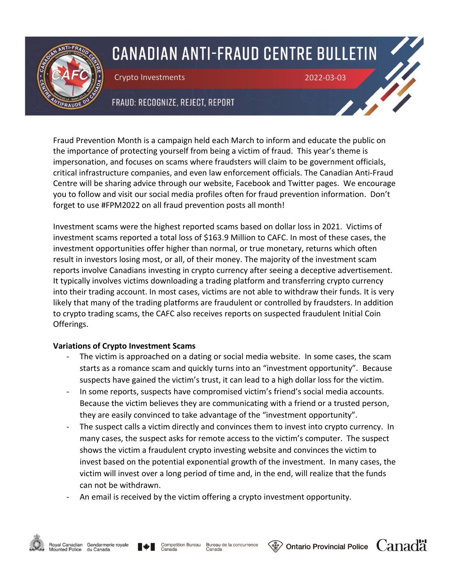

# **CANADIAN ANTI-FRAUD CENTRE BULLETIN**

Crypto Investments 2022-03-03

## FRAUD: RECOGNIZE, REJECT, REPORT

Fraud Prevention Month is a campaign held each March to inform and educate the public on the importance of protecting yourself from being a victim of fraud. This year's theme is impersonation, and focuses on scams where fraudsters will claim to be government officials, critical infrastructure companies, and even law enforcement officials. The Canadian Anti-Fraud Centre will be sharing advice through our website, Facebook and Twitter pages. We encourage you to follow and visit our social media profiles often for fraud prevention information. Don't forget to use #FPM2022 on all fraud prevention posts all month!

Investment scams were the highest reported scams based on dollar loss in 2021. Victims of investment scams reported a total loss of \$163.9 Million to CAFC. In most of these cases, the investment opportunities offer higher than normal, or true monetary, returns which often result in investors losing most, or all, of their money. The majority of the investment scam reports involve Canadians investing in crypto currency after seeing a deceptive advertisement. It typically involves victims downloading a trading platform and transferring crypto currency into their trading account. In most cases, victims are not able to withdraw their funds. It is very likely that many of the trading platforms are fraudulent or controlled by fraudsters. In addition to crypto trading scams, the CAFC also receives reports on suspected fraudulent Initial Coin Offerings.

### **Variations of Crypto Investment Scams**

- The victim is approached on a dating or social media website. In some cases, the scam starts as a romance scam and quickly turns into an "investment opportunity". Because suspects have gained the victim's trust, it can lead to a high dollar loss for the victim.
- In some reports, suspects have compromised victim's friend's social media accounts. Because the victim believes they are communicating with a friend or a trusted person, they are easily convinced to take advantage of the "investment opportunity".
- The suspect calls a victim directly and convinces them to invest into crypto currency. In many cases, the suspect asks for remote access to the victim's computer. The suspect shows the victim a fraudulent crypto investing website and convinces the victim to invest based on the potential exponential growth of the investment. In many cases, the victim will invest over a long period of time and, in the end, will realize that the funds can not be withdrawn.
- An email is received by the victim offering a crypto investment opportunity.



**Ontario Provincial Police**